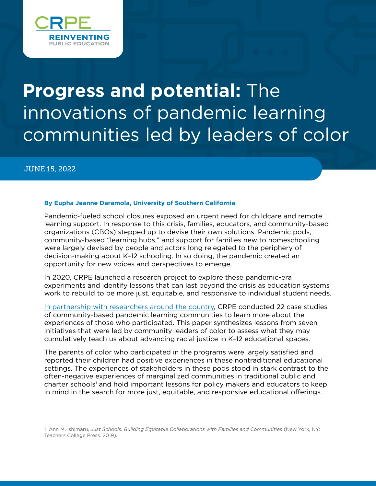

# **Progress and potential:** The innovations of pandemic learning communities led by leaders of color

JUNE 15, 2022

#### **By Eupha Jeanne Daramola, University of Southern California**

Pandemic-fueled school closures exposed an urgent need for childcare and remote learning support. In response to this crisis, families, educators, and community-based organizations (CBOs) stepped up to devise their own solutions. Pandemic pods, community-based "learning hubs," and support for families new to homeschooling were largely devised by people and actors long relegated to the periphery of decision-making about K–12 schooling. In so doing, the pandemic created an opportunity for new voices and perspectives to emerge.

In 2020, CRPE launched a research project to explore these pandemic-era experiments and identify lessons that can last beyond the crisis as education systems work to rebuild to be more just, equitable, and responsive to individual student needs.

[In partnership with researchers around the country](https://crpe.org/crisis-breeds-innovation/), CRPE conducted 22 case studies of community-based pandemic learning communities to learn more about the experiences of those who participated. This paper synthesizes lessons from seven initiatives that were led by community leaders of color to assess what they may cumulatively teach us about advancing racial justice in K–12 educational spaces.

The parents of color who participated in the programs were largely satisfied and reported their children had positive experiences in these nontraditional educational settings. The experiences of stakeholders in these pods stood in stark contrast to the often-negative experiences of marginalized communities in traditional public and charter schools<sup>1</sup> and hold important lessons for policy makers and educators to keep in mind in the search for more just, equitable, and responsive educational offerings.

<sup>1</sup> Ann M. Ishimaru, *Just Schools: Building Equitable Collaborations with Families and Communities* (New York, NY: Teachers College Press. 2019).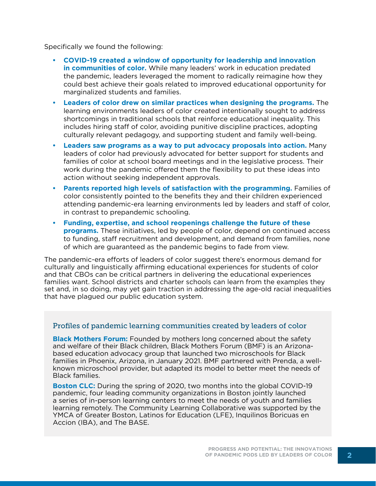Specifically we found the following:

- **• COVID-19 created a window of opportunity for leadership and innovation in communities of color.** While many leaders' work in education predated the pandemic, leaders leveraged the moment to radically reimagine how they could best achieve their goals related to improved educational opportunity for marginalized students and families.
- **• Leaders of color drew on similar practices when designing the programs.** The learning environments leaders of color created intentionally sought to address shortcomings in traditional schools that reinforce educational inequality. This includes hiring staff of color, avoiding punitive discipline practices, adopting culturally relevant pedagogy, and supporting student and family well-being.
- **• Leaders saw programs as a way to put advocacy proposals into action.** Many leaders of color had previously advocated for better support for students and families of color at school board meetings and in the legislative process. Their work during the pandemic offered them the flexibility to put these ideas into action without seeking independent approvals.
- **• Parents reported high levels of satisfaction with the programming.** Families of color consistently pointed to the benefits they and their children experienced attending pandemic-era learning environments led by leaders and staff of color, in contrast to prepandemic schooling.
- **• Funding, expertise, and school reopenings challenge the future of these programs.** These initiatives, led by people of color, depend on continued access to funding, staff recruitment and development, and demand from families, none of which are guaranteed as the pandemic begins to fade from view.

The pandemic-era efforts of leaders of color suggest there's enormous demand for culturally and linguistically affirming educational experiences for students of color and that CBOs can be critical partners in delivering the educational experiences families want. School districts and charter schools can learn from the examples they set and, in so doing, may yet gain traction in addressing the age-old racial inequalities that have plagued our public education system.

#### Profiles of pandemic learning communities created by leaders of color

**Black Mothers Forum:** Founded by mothers long concerned about the safety and welfare of their Black children, Black Mothers Forum (BMF) is an Arizonabased education advocacy group that launched two microschools for Black families in Phoenix, Arizona, in January 2021. BMF partnered with Prenda, a wellknown microschool provider, but adapted its model to better meet the needs of Black families.

**Boston CLC:** During the spring of 2020, two months into the global COVID-19 pandemic, four leading community organizations in Boston jointly launched a series of in-person learning centers to meet the needs of youth and families learning remotely. The Community Learning Collaborative was supported by the YMCA of Greater Boston, Latinos for Education (LFE), Inquilinos Boricuas en Accion (IBA), and The BASE.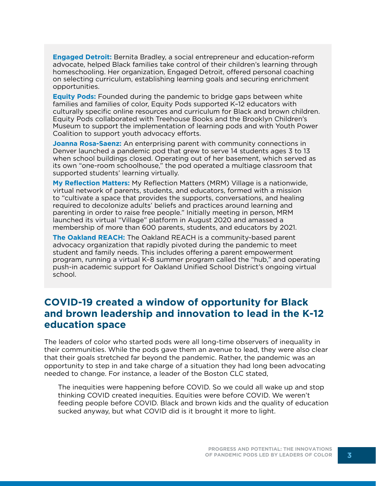**Engaged Detroit:** Bernita Bradley, a social entrepreneur and education-reform advocate, helped Black families take control of their children's learning through homeschooling. Her organization, Engaged Detroit, offered personal coaching on selecting curriculum, establishing learning goals and securing enrichment opportunities.

**Equity Pods:** Founded during the pandemic to bridge gaps between white families and families of color, Equity Pods supported K–12 educators with culturally specific online resources and curriculum for Black and brown children. Equity Pods collaborated with Treehouse Books and the Brooklyn Children's Museum to support the implementation of learning pods and with Youth Power Coalition to support youth advocacy efforts.

**Joanna Rosa-Saenz:** An enterprising parent with community connections in Denver launched a pandemic pod that grew to serve 14 students ages 3 to 13 when school buildings closed. Operating out of her basement, which served as its own "one-room schoolhouse," the pod operated a multiage classroom that supported students' learning virtually.

**My Reflection Matters:** My Reflection Matters (MRM) Village is a nationwide, virtual network of parents, students, and educators, formed with a mission to "cultivate a space that provides the supports, conversations, and healing required to decolonize adults' beliefs and practices around learning and parenting in order to raise free people." Initially meeting in person, MRM launched its virtual "Village" platform in August 2020 and amassed a membership of more than 600 parents, students, and educators by 2021.

**The Oakland REACH:** The Oakland REACH is a community-based parent advocacy organization that rapidly pivoted during the pandemic to meet student and family needs. This includes offering a parent empowerment program, running a virtual K–8 summer program called the "hub," and operating push-in academic support for Oakland Unified School District's ongoing virtual school.

## **COVID-19 created a window of opportunity for Black and brown leadership and innovation to lead in the K-12 education space**

The leaders of color who started pods were all long-time observers of inequality in their communities. While the pods gave them an avenue to lead, they were also clear that their goals stretched far beyond the pandemic. Rather, the pandemic was an opportunity to step in and take charge of a situation they had long been advocating needed to change. For instance, a leader of the Boston CLC stated,

The inequities were happening before COVID. So we could all wake up and stop thinking COVID created inequities. Equities were before COVID. We weren't feeding people before COVID. Black and brown kids and the quality of education sucked anyway, but what COVID did is it brought it more to light.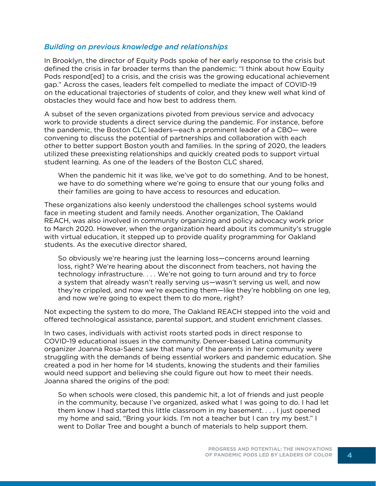#### *Building on previous knowledge and relationships*

In Brooklyn, the director of Equity Pods spoke of her early response to the crisis but defined the crisis in far broader terms than the pandemic: "I think about how Equity Pods respond[ed] to a crisis, and the crisis was the growing educational achievement gap." Across the cases, leaders felt compelled to mediate the impact of COVID-19 on the educational trajectories of students of color, and they knew well what kind of obstacles they would face and how best to address them.

A subset of the seven organizations pivoted from previous service and advocacy work to provide students a direct service during the pandemic. For instance, before the pandemic, the Boston CLC leaders—each a prominent leader of a CBO— were convening to discuss the potential of partnerships and collaboration with each other to better support Boston youth and families. In the spring of 2020, the leaders utilized these preexisting relationships and quickly created pods to support virtual student learning. As one of the leaders of the Boston CLC shared,

When the pandemic hit it was like, we've got to do something. And to be honest, we have to do something where we're going to ensure that our young folks and their families are going to have access to resources and education.

These organizations also keenly understood the challenges school systems would face in meeting student and family needs. Another organization, The Oakland REACH, was also involved in community organizing and policy advocacy work prior to March 2020. However, when the organization heard about its community's struggle with virtual education, it stepped up to provide quality programming for Oakland students. As the executive director shared,

So obviously we're hearing just the learning loss—concerns around learning loss, right? We're hearing about the disconnect from teachers, not having the technology infrastructure. . . . We're not going to turn around and try to force a system that already wasn't really serving us—wasn't serving us well, and now they're crippled, and now we're expecting them—like they're hobbling on one leg, and now we're going to expect them to do more, right?

Not expecting the system to do more, The Oakland REACH stepped into the void and offered technological assistance, parental support, and student enrichment classes.

In two cases, individuals with activist roots started pods in direct response to COVID-19 educational issues in the community. Denver-based Latina community organizer Joanna Rosa-Saenz saw that many of the parents in her community were struggling with the demands of being essential workers and pandemic education. She created a pod in her home for 14 students, knowing the students and their families would need support and believing she could figure out how to meet their needs. Joanna shared the origins of the pod:

So when schools were closed, this pandemic hit, a lot of friends and just people in the community, because I've organized, asked what I was going to do. I had let them know I had started this little classroom in my basement. . . . I just opened my home and said, "Bring your kids. I'm not a teacher but I can try my best." I went to Dollar Tree and bought a bunch of materials to help support them.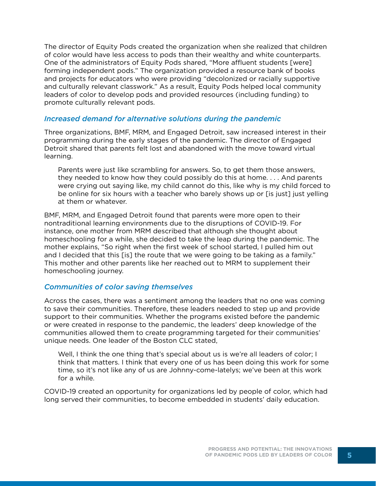The director of Equity Pods created the organization when she realized that children of color would have less access to pods than their wealthy and white counterparts. One of the administrators of Equity Pods shared, "More affluent students [were] forming independent pods." The organization provided a resource bank of books and projects for educators who were providing "decolonized or racially supportive and culturally relevant classwork." As a result, Equity Pods helped local community leaders of color to develop pods and provided resources (including funding) to promote culturally relevant pods.

#### *Increased demand for alternative solutions during the pandemic*

Three organizations, BMF, MRM, and Engaged Detroit, saw increased interest in their programming during the early stages of the pandemic. The director of Engaged Detroit shared that parents felt lost and abandoned with the move toward virtual learning.

Parents were just like scrambling for answers. So, to get them those answers, they needed to know how they could possibly do this at home. . . . And parents were crying out saying like, my child cannot do this, like why is my child forced to be online for six hours with a teacher who barely shows up or [is just] just yelling at them or whatever.

BMF, MRM, and Engaged Detroit found that parents were more open to their nontraditional learning environments due to the disruptions of COVID-19. For instance, one mother from MRM described that although she thought about homeschooling for a while, she decided to take the leap during the pandemic. The mother explains, "So right when the first week of school started, I pulled him out and I decided that this [is] the route that we were going to be taking as a family." This mother and other parents like her reached out to MRM to supplement their homeschooling journey.

#### *Communities of color saving themselves*

Across the cases, there was a sentiment among the leaders that no one was coming to save their communities. Therefore, these leaders needed to step up and provide support to their communities. Whether the programs existed before the pandemic or were created in response to the pandemic, the leaders' deep knowledge of the communities allowed them to create programming targeted for their communities' unique needs. One leader of the Boston CLC stated,

Well, I think the one thing that's special about us is we're all leaders of color; I think that matters. I think that every one of us has been doing this work for some time, so it's not like any of us are Johnny-come-latelys; we've been at this work for a while.

COVID-19 created an opportunity for organizations led by people of color, which had long served their communities, to become embedded in students' daily education.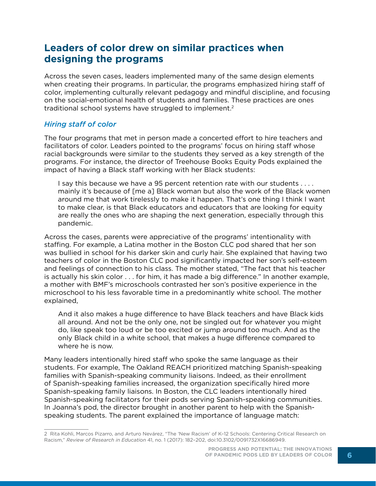## **Leaders of color drew on similar practices when designing the programs**

Across the seven cases, leaders implemented many of the same design elements when creating their programs. In particular, the programs emphasized hiring staff of color, implementing culturally relevant pedagogy and mindful discipline, and focusing on the social-emotional health of students and families. These practices are ones traditional school systems have struggled to implement.2

#### *Hiring staff of color*

The four programs that met in person made a concerted effort to hire teachers and facilitators of color. Leaders pointed to the programs' focus on hiring staff whose racial backgrounds were similar to the students they served as a key strength of the programs. For instance, the director of Treehouse Books Equity Pods explained the impact of having a Black staff working with her Black students:

I say this because we have a 95 percent retention rate with our students . . . . mainly it's because of [me a] Black woman but also the work of the Black women around me that work tirelessly to make it happen. That's one thing I think I want to make clear, is that Black educators and educators that are looking for equity are really the ones who are shaping the next generation, especially through this pandemic.

Across the cases, parents were appreciative of the programs' intentionality with staffing. For example, a Latina mother in the Boston CLC pod shared that her son was bullied in school for his darker skin and curly hair. She explained that having two teachers of color in the Boston CLC pod significantly impacted her son's self-esteem and feelings of connection to his class. The mother stated, "The fact that his teacher is actually his skin color . . . for him, it has made a big difference." In another example, a mother with BMF's microschools contrasted her son's positive experience in the microschool to his less favorable time in a predominantly white school. The mother explained,

And it also makes a huge difference to have Black teachers and have Black kids all around. And not be the only one, not be singled out for whatever you might do, like speak too loud or be too excited or jump around too much. And as the only Black child in a white school, that makes a huge difference compared to where he is now.

Many leaders intentionally hired staff who spoke the same language as their students. For example, The Oakland REACH prioritized matching Spanish-speaking families with Spanish-speaking community liaisons. Indeed, as their enrollment of Spanish-speaking families increased, the organization specifically hired more Spanish-speaking family liaisons. In Boston, the CLC leaders intentionally hired Spanish-speaking facilitators for their pods serving Spanish-speaking communities. In Joanna's pod, the director brought in another parent to help with the Spanishspeaking students. The parent explained the importance of language match:

<sup>2</sup> Rita Kohli, Marcos Pizarro, and Arturo Nevárez, "The 'New Racism' of K–12 Schools: Centering Critical Research on Racism," *Review of Research in Education* 41, no. 1 (2017): 182–202, doi:10.3102/0091732X16686949.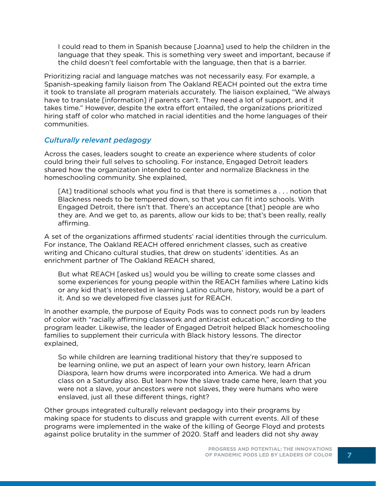I could read to them in Spanish because [Joanna] used to help the children in the language that they speak. This is something very sweet and important, because if the child doesn't feel comfortable with the language, then that is a barrier.

Prioritizing racial and language matches was not necessarily easy. For example, a Spanish-speaking family liaison from The Oakland REACH pointed out the extra time it took to translate all program materials accurately. The liaison explained, "We always have to translate [information] if parents can't. They need a lot of support, and it takes time." However, despite the extra effort entailed, the organizations prioritized hiring staff of color who matched in racial identities and the home languages of their communities.

#### *Culturally relevant pedagogy*

Across the cases, leaders sought to create an experience where students of color could bring their full selves to schooling. For instance, Engaged Detroit leaders shared how the organization intended to center and normalize Blackness in the homeschooling community. She explained,

[At] traditional schools what you find is that there is sometimes a . . . notion that Blackness needs to be tempered down, so that you can fit into schools. With Engaged Detroit, there isn't that. There's an acceptance [that] people are who they are. And we get to, as parents, allow our kids to be; that's been really, really affirming.

A set of the organizations affirmed students' racial identities through the curriculum. For instance, The Oakland REACH offered enrichment classes, such as creative writing and Chicano cultural studies, that drew on students' identities. As an enrichment partner of The Oakland REACH shared,

But what REACH [asked us] would you be willing to create some classes and some experiences for young people within the REACH families where Latino kids or any kid that's interested in learning Latino culture, history, would be a part of it. And so we developed five classes just for REACH.

In another example, the purpose of Equity Pods was to connect pods run by leaders of color with "racially affirming classwork and antiracist education," according to the program leader. Likewise, the leader of Engaged Detroit helped Black homeschooling families to supplement their curricula with Black history lessons. The director explained,

So while children are learning traditional history that they're supposed to be learning online, we put an aspect of learn your own history, learn African Diaspora, learn how drums were incorporated into America. We had a drum class on a Saturday also. But learn how the slave trade came here, learn that you were not a slave, your ancestors were not slaves, they were humans who were enslaved, just all these different things, right?

Other groups integrated culturally relevant pedagogy into their programs by making space for students to discuss and grapple with current events. All of these programs were implemented in the wake of the killing of George Floyd and protests against police brutality in the summer of 2020. Staff and leaders did not shy away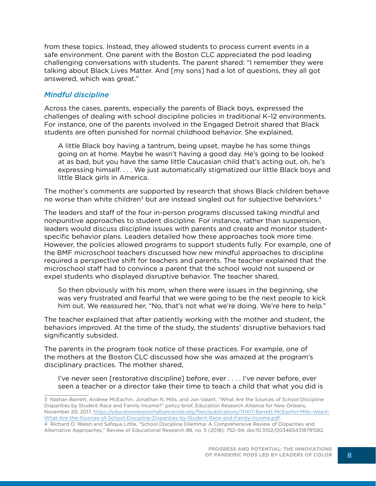from these topics. Instead, they allowed students to process current events in a safe environment. One parent with the Boston CLC appreciated the pod leading challenging conversations with students. The parent shared: "I remember they were talking about Black Lives Matter. And [my sons] had a lot of questions, they all got answered, which was great."

#### *Mindful discipline*

Across the cases, parents, especially the parents of Black boys, expressed the challenges of dealing with school discipline policies in traditional K–12 environments. For instance, one of the parents involved in the Engaged Detroit shared that Black students are often punished for normal childhood behavior. She explained,

A little Black boy having a tantrum, being upset, maybe he has some things going on at home. Maybe he wasn't having a good day. He's going to be looked at as bad, but you have the same little Caucasian child that's acting out, oh, he's expressing himself. . . . We just automatically stigmatized our little Black boys and little Black girls in America.

The mother's comments are supported by research that shows Black children behave no worse than white children $3$  but are instead singled out for subjective behaviors.<sup>4</sup>

The leaders and staff of the four in-person programs discussed taking mindful and nonpunitive approaches to student discipline. For instance, rather than suspension, leaders would discuss discipline issues with parents and create and monitor studentspecific behavior plans. Leaders detailed how these approaches took more time. However, the policies allowed programs to support students fully. For example, one of the BMF microschool teachers discussed how new mindful approaches to discipline required a perspective shift for teachers and parents. The teacher explained that the microschool staff had to convince a parent that the school would not suspend or expel students who displayed disruptive behavior. The teacher shared,

So then obviously with his mom, when there were issues in the beginning, she was very frustrated and fearful that we were going to be the next people to kick him out. We reassured her, "No, that's not what we're doing. We're here to help."

The teacher explained that after patiently working with the mother and student, the behaviors improved. At the time of the study, the students' disruptive behaviors had significantly subsided.

The parents in the program took notice of these practices. For example, one of the mothers at the Boston CLC discussed how she was amazed at the program's disciplinary practices. The mother shared,

I've never seen [restorative discipline] before, ever . . . . I've never before, ever seen a teacher or a director take their time to teach a child that what you did is

<sup>3</sup> Nathan Barrett, Andrew McEachin, Jonathan N. Mills, and Jon Valant, "What Are the Sources of School Discipline Disparities by Student Race and Family Income?" policy brief, Education Research Alliance for New Orleans, November 20, 2017, [https://educationresearchalliancenola.org/files/publications/111417-Barrett-McEachin-Mills-Valant-](https://educationresearchalliancenola.org/files/publications/111417-Barrett-McEachin-Mills-Valant-What-Are-the-Sources-of-School-Discipline-Disparities-by-Student-Race-and-Family-Income.pdf)[What-Are-the-Sources-of-School-Discipline-Disparities-by-Student-Race-and-Family-Income.pdf](https://educationresearchalliancenola.org/files/publications/111417-Barrett-McEachin-Mills-Valant-What-Are-the-Sources-of-School-Discipline-Disparities-by-Student-Race-and-Family-Income.pdf).

<sup>4</sup> Richard O. Welsh and Safiqua Little, "School Discipline Dilemma: A Comprehensive Review of Disparities and Alternative Approaches," Review of Educational Research 88, no. 5 (2018): 752–94, doi:10.3102/0034654318791582.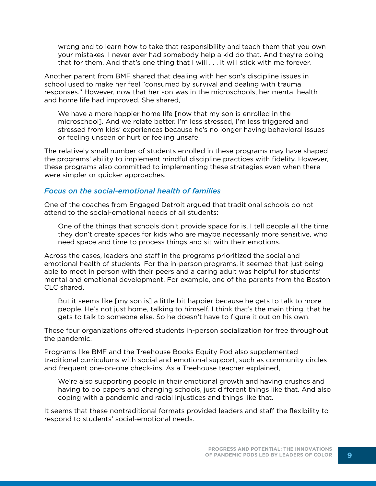wrong and to learn how to take that responsibility and teach them that you own your mistakes. I never ever had somebody help a kid do that. And they're doing that for them. And that's one thing that I will . . . it will stick with me forever.

Another parent from BMF shared that dealing with her son's discipline issues in school used to make her feel "consumed by survival and dealing with trauma responses." However, now that her son was in the microschools, her mental health and home life had improved. She shared,

We have a more happier home life [now that my son is enrolled in the microschool]. And we relate better. I'm less stressed, I'm less triggered and stressed from kids' experiences because he's no longer having behavioral issues or feeling unseen or hurt or feeling unsafe.

The relatively small number of students enrolled in these programs may have shaped the programs' ability to implement mindful discipline practices with fidelity. However, these programs also committed to implementing these strategies even when there were simpler or quicker approaches.

#### *Focus on the social-emotional health of families*

One of the coaches from Engaged Detroit argued that traditional schools do not attend to the social-emotional needs of all students:

One of the things that schools don't provide space for is, I tell people all the time they don't create spaces for kids who are maybe necessarily more sensitive, who need space and time to process things and sit with their emotions.

Across the cases, leaders and staff in the programs prioritized the social and emotional health of students. For the in-person programs, it seemed that just being able to meet in person with their peers and a caring adult was helpful for students' mental and emotional development. For example, one of the parents from the Boston CLC shared,

But it seems like [my son is] a little bit happier because he gets to talk to more people. He's not just home, talking to himself. I think that's the main thing, that he gets to talk to someone else. So he doesn't have to figure it out on his own.

These four organizations offered students in-person socialization for free throughout the pandemic.

Programs like BMF and the Treehouse Books Equity Pod also supplemented traditional curriculums with social and emotional support, such as community circles and frequent one-on-one check-ins. As a Treehouse teacher explained,

We're also supporting people in their emotional growth and having crushes and having to do papers and changing schools, just different things like that. And also coping with a pandemic and racial injustices and things like that.

It seems that these nontraditional formats provided leaders and staff the flexibility to respond to students' social-emotional needs.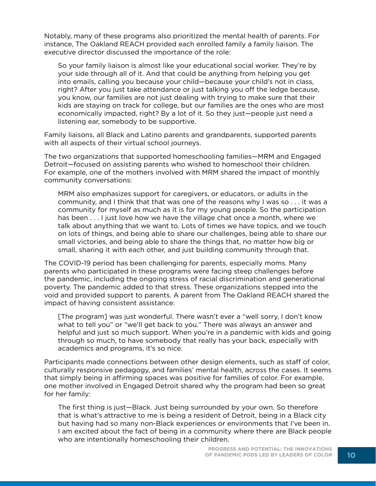Notably, many of these programs also prioritized the mental health of parents. For instance, The Oakland REACH provided each enrolled family a family liaison. The executive director discussed the importance of the role:

So your family liaison is almost like your educational social worker. They're by your side through all of it. And that could be anything from helping you get into emails, calling you because your child—because your child's not in class, right? After you just take attendance or just talking you off the ledge because, you know, our families are not just dealing with trying to make sure that their kids are staying on track for college, but our families are the ones who are most economically impacted, right? By a lot of it. So they just—people just need a listening ear, somebody to be supportive.

Family liaisons, all Black and Latino parents and grandparents, supported parents with all aspects of their virtual school journeys.

The two organizations that supported homeschooling families—MRM and Engaged Detroit—focused on assisting parents who wished to homeschool their children. For example, one of the mothers involved with MRM shared the impact of monthly community conversations:

MRM also emphasizes support for caregivers, or educators, or adults in the community, and I think that that was one of the reasons why I was so . . . it was a community for myself as much as it is for my young people. So the participation has been  $\dots$  I just love how we have the village chat once a month, where we talk about anything that we want to. Lots of times we have topics, and we touch on lots of things, and being able to share our challenges, being able to share our small victories, and being able to share the things that, no matter how big or small, sharing it with each other, and just building community through that.

The COVID-19 period has been challenging for parents, especially moms. Many parents who participated in these programs were facing steep challenges before the pandemic, including the ongoing stress of racial discrimination and generational poverty. The pandemic added to that stress. These organizations stepped into the void and provided support to parents. A parent from The Oakland REACH shared the impact of having consistent assistance:

[The program] was just wonderful. There wasn't ever a "well sorry, I don't know what to tell you" or "we'll get back to you." There was always an answer and helpful and just so much support. When you're in a pandemic with kids and going through so much, to have somebody that really has your back, especially with academics and programs, it's so nice.

Participants made connections between other design elements, such as staff of color, culturally responsive pedagogy, and families' mental health, across the cases. It seems that simply being in affirming spaces was positive for families of color. For example, one mother involved in Engaged Detroit shared why the program had been so great for her family:

The first thing is just—Black. Just being surrounded by your own. So therefore that is what's attractive to me is being a resident of Detroit, being in a Black city but having had so many non-Black experiences or environments that I've been in. I am excited about the fact of being in a community where there are Black people who are intentionally homeschooling their children.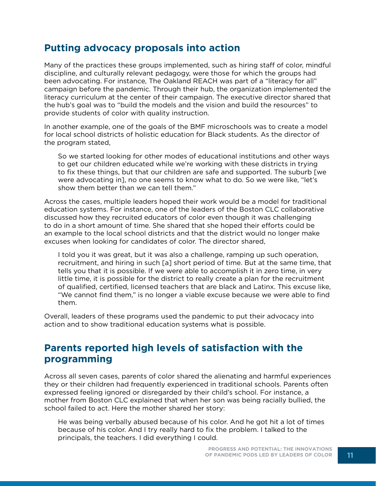## **Putting advocacy proposals into action**

Many of the practices these groups implemented, such as hiring staff of color, mindful discipline, and culturally relevant pedagogy, were those for which the groups had been advocating. For instance, The Oakland REACH was part of a "literacy for all" campaign before the pandemic. Through their hub, the organization implemented the literacy curriculum at the center of their campaign. The executive director shared that the hub's goal was to "build the models and the vision and build the resources" to provide students of color with quality instruction.

In another example, one of the goals of the BMF microschools was to create a model for local school districts of holistic education for Black students. As the director of the program stated,

So we started looking for other modes of educational institutions and other ways to get our children educated while we're working with these districts in trying to fix these things, but that our children are safe and supported. The suburb [we were advocating in], no one seems to know what to do. So we were like, "let's show them better than we can tell them."

Across the cases, multiple leaders hoped their work would be a model for traditional education systems. For instance, one of the leaders of the Boston CLC collaborative discussed how they recruited educators of color even though it was challenging to do in a short amount of time. She shared that she hoped their efforts could be an example to the local school districts and that the district would no longer make excuses when looking for candidates of color. The director shared,

I told you it was great, but it was also a challenge, ramping up such operation, recruitment, and hiring in such [a] short period of time. But at the same time, that tells you that it is possible. If we were able to accomplish it in zero time, in very little time, it is possible for the district to really create a plan for the recruitment of qualified, certified, licensed teachers that are black and Latinx. This excuse like, "We cannot find them," is no longer a viable excuse because we were able to find them.

Overall, leaders of these programs used the pandemic to put their advocacy into action and to show traditional education systems what is possible.

## **Parents reported high levels of satisfaction with the programming**

Across all seven cases, parents of color shared the alienating and harmful experiences they or their children had frequently experienced in traditional schools. Parents often expressed feeling ignored or disregarded by their child's school. For instance, a mother from Boston CLC explained that when her son was being racially bullied, the school failed to act. Here the mother shared her story:

He was being verbally abused because of his color. And he got hit a lot of times because of his color. And I try really hard to fix the problem. I talked to the principals, the teachers. I did everything I could.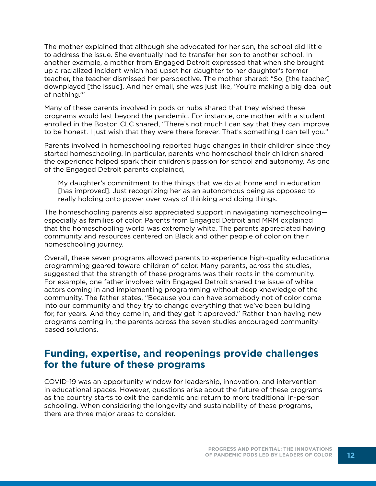The mother explained that although she advocated for her son, the school did little to address the issue. She eventually had to transfer her son to another school. In another example, a mother from Engaged Detroit expressed that when she brought up a racialized incident which had upset her daughter to her daughter's former teacher, the teacher dismissed her perspective. The mother shared: "So, [the teacher] downplayed [the issue]. And her email, she was just like, 'You're making a big deal out of nothing.'"

Many of these parents involved in pods or hubs shared that they wished these programs would last beyond the pandemic. For instance, one mother with a student enrolled in the Boston CLC shared, "There's not much I can say that they can improve, to be honest. I just wish that they were there forever. That's something I can tell you."

Parents involved in homeschooling reported huge changes in their children since they started homeschooling. In particular, parents who homeschool their children shared the experience helped spark their children's passion for school and autonomy. As one of the Engaged Detroit parents explained,

My daughter's commitment to the things that we do at home and in education [has improved]. Just recognizing her as an autonomous being as opposed to really holding onto power over ways of thinking and doing things.

The homeschooling parents also appreciated support in navigating homeschooling especially as families of color. Parents from Engaged Detroit and MRM explained that the homeschooling world was extremely white. The parents appreciated having community and resources centered on Black and other people of color on their homeschooling journey.

Overall, these seven programs allowed parents to experience high-quality educational programming geared toward children of color. Many parents, across the studies, suggested that the strength of these programs was their roots in the community. For example, one father involved with Engaged Detroit shared the issue of white actors coming in and implementing programming without deep knowledge of the community. The father states, "Because you can have somebody not of color come into our community and they try to change everything that we've been building for, for years. And they come in, and they get it approved." Rather than having new programs coming in, the parents across the seven studies encouraged communitybased solutions.

## **Funding, expertise, and reopenings provide challenges for the future of these programs**

COVID-19 was an opportunity window for leadership, innovation, and intervention in educational spaces. However, questions arise about the future of these programs as the country starts to exit the pandemic and return to more traditional in-person schooling. When considering the longevity and sustainability of these programs, there are three major areas to consider.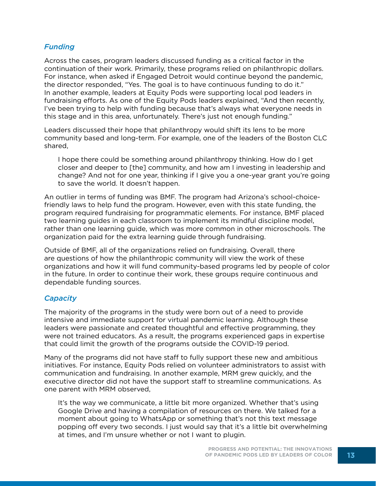#### *Funding*

Across the cases, program leaders discussed funding as a critical factor in the continuation of their work. Primarily, these programs relied on philanthropic dollars. For instance, when asked if Engaged Detroit would continue beyond the pandemic, the director responded, "Yes. The goal is to have continuous funding to do it." In another example, leaders at Equity Pods were supporting local pod leaders in fundraising efforts. As one of the Equity Pods leaders explained, "And then recently, I've been trying to help with funding because that's always what everyone needs in this stage and in this area, unfortunately. There's just not enough funding."

Leaders discussed their hope that philanthropy would shift its lens to be more community based and long-term. For example, one of the leaders of the Boston CLC shared,

I hope there could be something around philanthropy thinking. How do I get closer and deeper to [the] community, and how am I investing in leadership and change? And not for one year, thinking if I give you a one-year grant you're going to save the world. It doesn't happen.

An outlier in terms of funding was BMF. The program had Arizona's school-choicefriendly laws to help fund the program. However, even with this state funding, the program required fundraising for programmatic elements. For instance, BMF placed two learning guides in each classroom to implement its mindful discipline model, rather than one learning guide, which was more common in other microschools. The organization paid for the extra learning guide through fundraising.

Outside of BMF, all of the organizations relied on fundraising. Overall, there are questions of how the philanthropic community will view the work of these organizations and how it will fund community-based programs led by people of color in the future. In order to continue their work, these groups require continuous and dependable funding sources.

#### *Capacity*

The majority of the programs in the study were born out of a need to provide intensive and immediate support for virtual pandemic learning. Although these leaders were passionate and created thoughtful and effective programming, they were not trained educators. As a result, the programs experienced gaps in expertise that could limit the growth of the programs outside the COVID-19 period.

Many of the programs did not have staff to fully support these new and ambitious initiatives. For instance, Equity Pods relied on volunteer administrators to assist with communication and fundraising. In another example, MRM grew quickly, and the executive director did not have the support staff to streamline communications. As one parent with MRM observed,

It's the way we communicate, a little bit more organized. Whether that's using Google Drive and having a compilation of resources on there. We talked for a moment about going to WhatsApp or something that's not this text message popping off every two seconds. I just would say that it's a little bit overwhelming at times, and I'm unsure whether or not I want to plugin.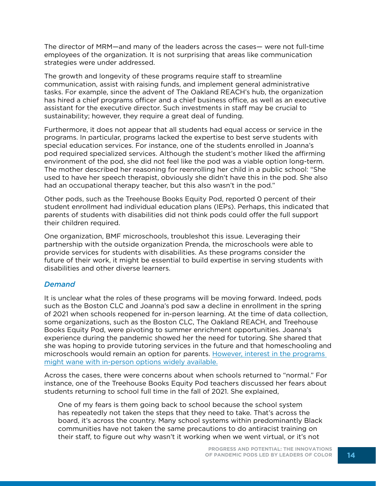The director of MRM—and many of the leaders across the cases— were not full-time employees of the organization. It is not surprising that areas like communication strategies were under addressed.

The growth and longevity of these programs require staff to streamline communication, assist with raising funds, and implement general administrative tasks. For example, since the advent of The Oakland REACH's hub, the organization has hired a chief programs officer and a chief business office, as well as an executive assistant for the executive director. Such investments in staff may be crucial to sustainability; however, they require a great deal of funding.

Furthermore, it does not appear that all students had equal access or service in the programs. In particular, programs lacked the expertise to best serve students with special education services. For instance, one of the students enrolled in Joanna's pod required specialized services. Although the student's mother liked the affirming environment of the pod, she did not feel like the pod was a viable option long-term. The mother described her reasoning for reenrolling her child in a public school: "She used to have her speech therapist, obviously she didn't have this in the pod. She also had an occupational therapy teacher, but this also wasn't in the pod."

Other pods, such as the Treehouse Books Equity Pod, reported 0 percent of their student enrollment had individual education plans (IEPs). Perhaps, this indicated that parents of students with disabilities did not think pods could offer the full support their children required.

One organization, BMF microschools, troubleshot this issue. Leveraging their partnership with the outside organization Prenda, the microschools were able to provide services for students with disabilities. As these programs consider the future of their work, it might be essential to build expertise in serving students with disabilities and other diverse learners.

#### *Demand*

It is unclear what the roles of these programs will be moving forward. Indeed, pods such as the Boston CLC and Joanna's pod saw a decline in enrollment in the spring of 2021 when schools reopened for in-person learning. At the time of data collection, some organizations, such as the Boston CLC, The Oakland REACH, and Treehouse Books Equity Pod, were pivoting to summer enrichment opportunities. Joanna's experience during the pandemic showed her the need for tutoring. She shared that she was hoping to provide tutoring services in the future and that homeschooling and microschools would remain an option for parents. [However, interest in the programs](https://crpe.org/crisis-breeds-innovation-pandemic-pods-and-the-future-of-education/)  [might wane with in-person options widely available.](https://crpe.org/crisis-breeds-innovation-pandemic-pods-and-the-future-of-education/)

Across the cases, there were concerns about when schools returned to "normal." For instance, one of the Treehouse Books Equity Pod teachers discussed her fears about students returning to school full time in the fall of 2021. She explained,

One of my fears is them going back to school because the school system has repeatedly not taken the steps that they need to take. That's across the board, it's across the country. Many school systems within predominantly Black communities have not taken the same precautions to do antiracist training on their staff, to figure out why wasn't it working when we went virtual, or it's not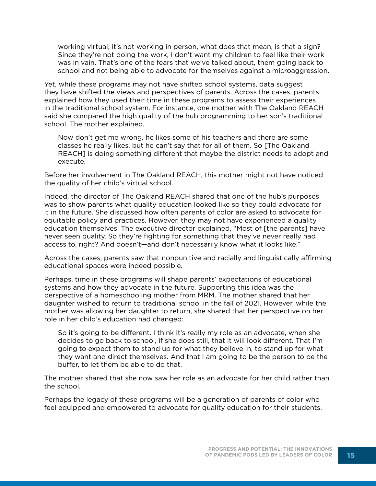working virtual, it's not working in person, what does that mean, is that a sign? Since they're not doing the work, I don't want my children to feel like their work was in vain. That's one of the fears that we've talked about, them going back to school and not being able to advocate for themselves against a microaggression.

Yet, while these programs may not have shifted school systems, data suggest they have shifted the views and perspectives of parents. Across the cases, parents explained how they used their time in these programs to assess their experiences in the traditional school system. For instance, one mother with The Oakland REACH said she compared the high quality of the hub programming to her son's traditional school. The mother explained,

Now don't get me wrong, he likes some of his teachers and there are some classes he really likes, but he can't say that for all of them. So [The Oakland REACH] is doing something different that maybe the district needs to adopt and execute.

Before her involvement in The Oakland REACH, this mother might not have noticed the quality of her child's virtual school.

Indeed, the director of The Oakland REACH shared that one of the hub's purposes was to show parents what quality education looked like so they could advocate for it in the future. She discussed how often parents of color are asked to advocate for equitable policy and practices. However, they may not have experienced a quality education themselves. The executive director explained, "Most of [the parents] have never seen quality. So they're fighting for something that they've never really had access to, right? And doesn't—and don't necessarily know what it looks like."

Across the cases, parents saw that nonpunitive and racially and linguistically affirming educational spaces were indeed possible.

Perhaps, time in these programs will shape parents' expectations of educational systems and how they advocate in the future. Supporting this idea was the perspective of a homeschooling mother from MRM. The mother shared that her daughter wished to return to traditional school in the fall of 2021. However, while the mother was allowing her daughter to return, she shared that her perspective on her role in her child's education had changed:

So it's going to be different. I think it's really my role as an advocate, when she decides to go back to school, if she does still, that it will look different. That I'm going to expect them to stand up for what they believe in, to stand up for what they want and direct themselves. And that I am going to be the person to be the buffer, to let them be able to do that.

The mother shared that she now saw her role as an advocate for her child rather than the school.

Perhaps the legacy of these programs will be a generation of parents of color who feel equipped and empowered to advocate for quality education for their students.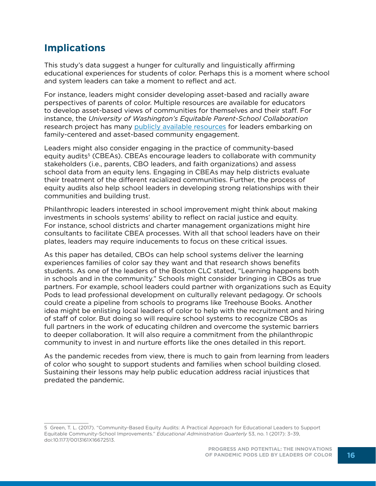## **Implications**

This study's data suggest a hunger for culturally and linguistically affirming educational experiences for students of color. Perhaps this is a moment where school and system leaders can take a moment to reflect and act.

For instance, leaders might consider developing asset-based and racially aware perspectives of parents of color. Multiple resources are available for educators to develop asset-based views of communities for themselves and their staff. For instance, the *University of Washington's Equitable Parent-School Collaboration* research project has many [publicly available resources](https://www.education.uw.edu/epsc/) for leaders embarking on family-centered and asset-based community engagement.

Leaders might also consider engaging in the practice of community-based equity audits<sup>5</sup> (CBEAs). CBEAs encourage leaders to collaborate with community stakeholders (i.e., parents, CBO leaders, and faith organizations) and assess school data from an equity lens. Engaging in CBEAs may help districts evaluate their treatment of the different racialized communities. Further, the process of equity audits also help school leaders in developing strong relationships with their communities and building trust.

Philanthropic leaders interested in school improvement might think about making investments in schools systems' ability to reflect on racial justice and equity. For instance, school districts and charter management organizations might hire consultants to facilitate CBEA processes. With all that school leaders have on their plates, leaders may require inducements to focus on these critical issues.

As this paper has detailed, CBOs can help school systems deliver the learning experiences families of color say they want and that research shows benefits students. As one of the leaders of the Boston CLC stated, "Learning happens both in schools and in the community." Schools might consider bringing in CBOs as true partners. For example, school leaders could partner with organizations such as Equity Pods to lead professional development on culturally relevant pedagogy. Or schools could create a pipeline from schools to programs like Treehouse Books. Another idea might be enlisting local leaders of color to help with the recruitment and hiring of staff of color. But doing so will require school systems to recognize CBOs as full partners in the work of educating children and overcome the systemic barriers to deeper collaboration. It will also require a commitment from the philanthropic community to invest in and nurture efforts like the ones detailed in this report.

As the pandemic recedes from view, there is much to gain from learning from leaders of color who sought to support students and families when school building closed. Sustaining their lessons may help public education address racial injustices that predated the pandemic.

<sup>5</sup> Green, T. L. (2017). "Community-Based Equity Audits: A Practical Approach for Educational Leaders to Support Equitable Community-School Improvements." *Educational Administration Quarterly* 53, no. 1 (2017): 3–39, doi:10.1177/0013161X16672513.